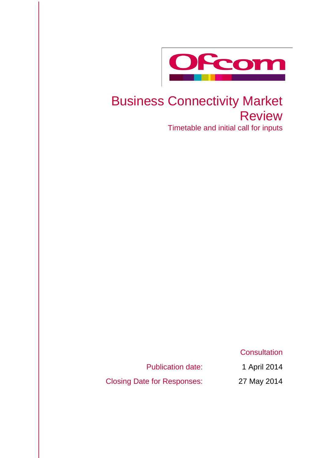

# Business Connectivity Market Review

Timetable and initial call for inputs

**Consultation** 

Publication date: 1 April 2014

Closing Date for Responses: 27 May 2014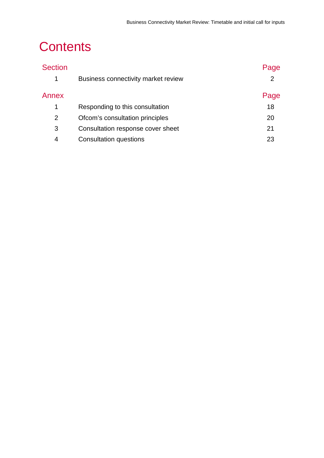# **Contents**

| <b>Section</b> |                                     | Page |
|----------------|-------------------------------------|------|
| 1              | Business connectivity market review | 2    |
| Annex          |                                     | Page |
| 1              | Responding to this consultation     | 18   |
| 2              | Ofcom's consultation principles     | 20   |
| 3              | Consultation response cover sheet   | 21   |
| 4              | <b>Consultation questions</b>       | 23   |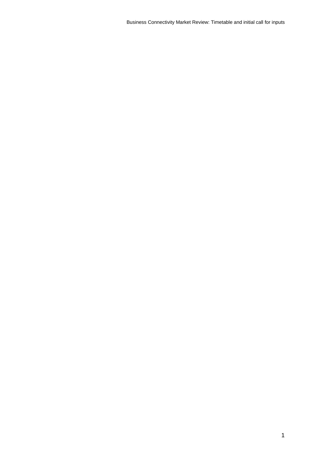Business Connectivity Market Review: Timetable and initial call for inputs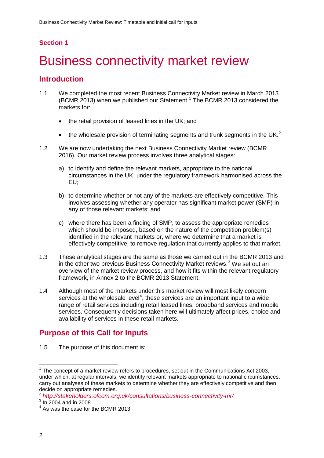# **Section 1**

# <span id="page-4-0"></span>**Business connectivity market review**

## **Introduction**

- 1.1 We completed the most recent Business Connectivity Market review in March 2013 (BCMR 20[1](#page-4-1)3) when we published our Statement.<sup>1</sup> The BCMR 2013 considered the markets for:
	- the retail provision of leased lines in the UK; and
	- $\bullet$  the wholesale provision of terminating segments and trunk segments in the UK.<sup>[2](#page-4-2)</sup>
- 1.2 We are now undertaking the next Business Connectivity Market review (BCMR 2016). Our market review process involves three analytical stages:
	- a) to identify and define the relevant markets, appropriate to the national circumstances in the UK, under the regulatory framework harmonised across the EU;
	- b) to determine whether or not any of the markets are effectively competitive. This involves assessing whether any operator has significant market power (SMP) in any of those relevant markets; and
	- c) where there has been a finding of SMP, to assess the appropriate remedies which should be imposed, based on the nature of the competition problem(s) identified in the relevant markets or, where we determine that a market is effectively competitive, to remove regulation that currently applies to that market.
- 1.3 These analytical stages are the same as those we carried out in the BCMR 2013 and in the other two previous Business Connectivity Market reviews. [3](#page-4-3) We set out an overview of the market review process, and how it fits within the relevant regulatory framework, in Annex 2 to the BCMR 2013 Statement.
- 1.4 Although most of the markets under this market review will most likely concern services at the wholesale level<sup>[4](#page-4-4)</sup>, these services are an important input to a wide range of retail services including retail leased lines, broadband services and mobile services. Consequently decisions taken here will ultimately affect prices, choice and availability of services in these retail markets.

# **Purpose of this Call for Inputs**

1.5 The purpose of this document is:

<span id="page-4-1"></span> $<sup>1</sup>$  The concept of a market review refers to procedures, set out in the Communications Act 2003,</sup> under which, at regular intervals, we identify relevant markets appropriate to national circumstances, carry out analyses of these markets to determine whether they are effectively competitive and then decide on appropriate remedies.

<span id="page-4-2"></span><sup>&</sup>lt;sup>2</sup> <http://stakeholders.ofcom.org.uk/consultations/business-connectivity-mr/><br><sup>3</sup> In 2004 and in 2008.

<span id="page-4-4"></span><span id="page-4-3"></span><sup>3</sup> In 2004 and in 2008. <sup>4</sup> As was the case for the BCMR 2013.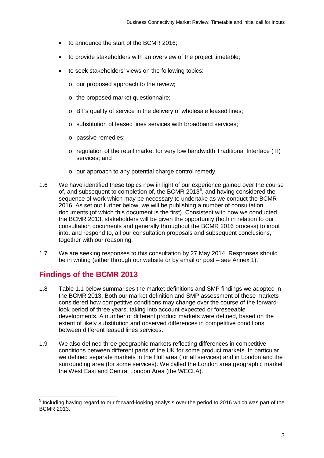- to announce the start of the BCMR 2016;
- to provide stakeholders with an overview of the project timetable;
- to seek stakeholders' views on the following topics:
	- o our proposed approach to the review;
	- o the proposed market questionnaire;
	- o BT's quality of service in the delivery of wholesale leased lines;
	- o substitution of leased lines services with broadband services;
	- o passive remedies;
	- $\circ$  regulation of the retail market for very low bandwidth Traditional Interface (TI) services; and
	- o our approach to any potential charge control remedy.
- 1.6 We have identified these topics now in light of our experience gained over the course of, and subsequent to completion of, the BCMR 2013<sup>[5](#page-5-0)</sup>, and having considered the sequence of work which may be necessary to undertake as we conduct the BCMR 2016. As set out further below, we will be publishing a number of consultation documents (of which this document is the first). Consistent with how we conducted the BCMR 2013, stakeholders will be given the opportunity (both in relation to our consultation documents and generally throughout the BCMR 2016 process) to input into, and respond to, all our consultation proposals and subsequent conclusions, together with our reasoning.
- 1.7 We are seeking responses to this consultation by 27 May 2014. Responses should be in writing (either through our website or by email or post – see Annex 1).

# **Findings of the BCMR 2013**

- 1.8 Table 1.1 below summarises the market definitions and SMP findings we adopted in the BCMR 2013. Both our market definition and SMP assessment of these markets considered how competitive conditions may change over the course of the forwardlook period of three years, taking into account expected or foreseeable developments. A number of different product markets were defined, based on the extent of likely substitution and observed differences in competitive conditions between different leased lines services.
- 1.9 We also defined three geographic markets reflecting differences in competitive conditions between different parts of the UK for some product markets. In particular we defined separate markets in the Hull area (for all services) and in London and the surrounding area (for some services). We called the London area geographic market the West East and Central London Area (the WECLA).

<span id="page-5-0"></span> <sup>5</sup> Including having regard to our forward-looking analysis over the period to 2016 which was part of the BCMR 2013.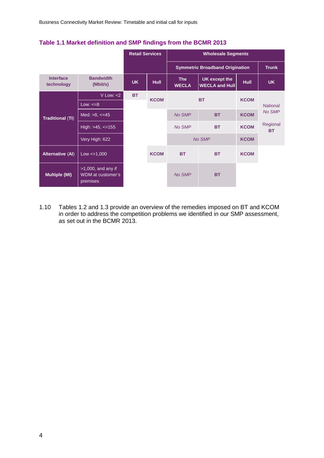|                                |                                                        | <b>Retail Services</b> |             | <b>Wholesale Segments</b>              |                                        |             |                       |
|--------------------------------|--------------------------------------------------------|------------------------|-------------|----------------------------------------|----------------------------------------|-------------|-----------------------|
|                                |                                                        |                        |             | <b>Symmetric Broadband Origination</b> |                                        |             | <b>Trunk</b>          |
| <b>Interface</b><br>technology | <b>Bandwidth</b><br>(Mbit/s)                           | <b>UK</b>              | <b>Hull</b> | <b>The</b><br><b>WECLA</b>             | UK except the<br><b>WECLA and Hull</b> | <b>Hull</b> | <b>UK</b>             |
|                                | V Low: $<$ 2                                           | <b>BT</b>              | <b>KCOM</b> | <b>BT</b>                              |                                        | <b>KCOM</b> |                       |
|                                | Low: $\leq$ =8                                         |                        |             |                                        |                                        |             | <b>National</b>       |
| <b>Traditional (TI)</b>        | Med: $>8$ , $\leq$ 45                                  |                        |             | No SMP                                 | <b>BT</b>                              | <b>KCOM</b> | No SMP                |
|                                | High: $>45$ , $<=155$                                  |                        |             | No SMP                                 | <b>BT</b>                              | <b>KCOM</b> | Regional<br><b>BT</b> |
|                                | Very High: 622                                         |                        |             | No SMP                                 |                                        | <b>KCOM</b> |                       |
| <b>Alternative (AI)</b>        | $Low < = 1,000$                                        |                        | <b>KCOM</b> | <b>BT</b>                              | <b>BT</b>                              | <b>KCOM</b> |                       |
| <b>Multiple (MI)</b>           | $>1,000$ , and any if<br>WDM at customer's<br>premises |                        |             | No SMP                                 | <b>BT</b>                              |             |                       |

### **Table 1.1 Market definition and SMP findings from the BCMR 2013**

1.10 Tables 1.2 and 1.3 provide an overview of the remedies imposed on BT and KCOM in order to address the competition problems we identified in our SMP assessment, as set out in the BCMR 2013.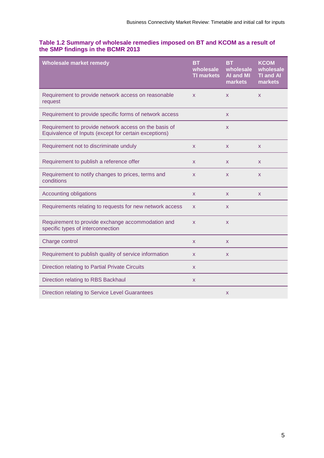#### **Table 1.2 Summary of wholesale remedies imposed on BT and KCOM as a result of the SMP findings in the BCMR 2013**

| <b>Wholesale market remedy</b>                                                                                 | <b>BT</b><br>wholesale<br><b>TI markets</b> | <b>BT</b><br>wholesale<br>AI and MI<br>markets | <b>KCOM</b><br>wholesale<br><b>TI and AI</b><br>markets |
|----------------------------------------------------------------------------------------------------------------|---------------------------------------------|------------------------------------------------|---------------------------------------------------------|
| Requirement to provide network access on reasonable<br>request                                                 | $\mathsf{x}$                                | $\mathsf{X}$                                   | X                                                       |
| Requirement to provide specific forms of network access                                                        |                                             | $\mathsf{X}$                                   |                                                         |
| Requirement to provide network access on the basis of<br>Equivalence of Inputs (except for certain exceptions) |                                             | $\mathsf{x}$                                   |                                                         |
| Requirement not to discriminate unduly                                                                         | X                                           | X                                              | X                                                       |
| Requirement to publish a reference offer                                                                       | X                                           | $\mathsf{X}$                                   | X.                                                      |
| Requirement to notify changes to prices, terms and<br>conditions                                               | X                                           | $\mathsf{x}$                                   | X                                                       |
| <b>Accounting obligations</b>                                                                                  | X                                           | $\mathsf{X}$                                   | X                                                       |
| Requirements relating to requests for new network access                                                       | X                                           | $\mathsf{x}$                                   |                                                         |
| Requirement to provide exchange accommodation and<br>specific types of interconnection                         | X                                           | $\mathsf{X}$                                   |                                                         |
| Charge control                                                                                                 | X                                           | $\mathsf{X}$                                   |                                                         |
| Requirement to publish quality of service information                                                          | X                                           | $\mathsf{X}$                                   |                                                         |
| Direction relating to Partial Private Circuits                                                                 | X                                           |                                                |                                                         |
| Direction relating to RBS Backhaul                                                                             | X                                           |                                                |                                                         |
| Direction relating to Service Level Guarantees                                                                 |                                             | $\mathsf{X}$                                   |                                                         |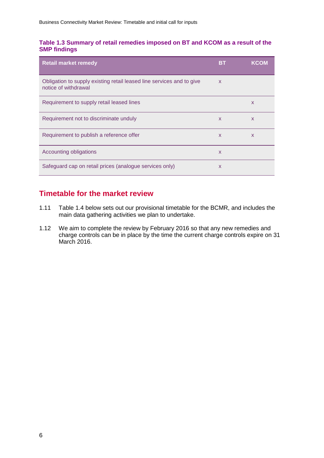#### **Table 1.3 Summary of retail remedies imposed on BT and KCOM as a result of the SMP findings**

| <b>Retail market remedy</b>                                                                   | BТ           | KCOM         |
|-----------------------------------------------------------------------------------------------|--------------|--------------|
| Obligation to supply existing retail leased line services and to give<br>notice of withdrawal | $\mathsf{x}$ |              |
| Requirement to supply retail leased lines                                                     |              | $\mathsf{x}$ |
| Requirement not to discriminate unduly                                                        | $\mathsf{x}$ | $\mathsf{x}$ |
| Requirement to publish a reference offer                                                      | $\mathsf{x}$ | X            |
| Accounting obligations                                                                        | $\mathsf{x}$ |              |
| Safeguard cap on retail prices (analogue services only)                                       | $\mathsf{x}$ |              |

# **Timetable for the market review**

- 1.11 Table 1.4 below sets out our provisional timetable for the BCMR, and includes the main data gathering activities we plan to undertake.
- 1.12 We aim to complete the review by February 2016 so that any new remedies and charge controls can be in place by the time the current charge controls expire on 31 March 2016.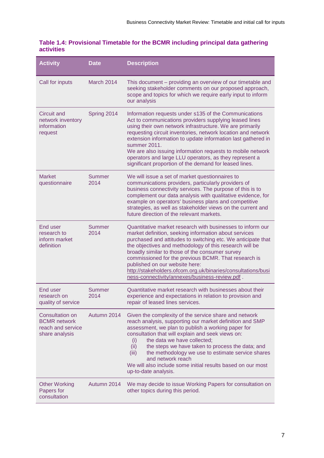| <b>Activity</b>                                                               | <b>Date</b>           | <b>Description</b>                                                                                                                                                                                                                                                                                                                                                                                                                                                                                            |
|-------------------------------------------------------------------------------|-----------------------|---------------------------------------------------------------------------------------------------------------------------------------------------------------------------------------------------------------------------------------------------------------------------------------------------------------------------------------------------------------------------------------------------------------------------------------------------------------------------------------------------------------|
| Call for inputs                                                               | March 2014            | This document – providing an overview of our timetable and<br>seeking stakeholder comments on our proposed approach,<br>scope and topics for which we require early input to inform<br>our analysis                                                                                                                                                                                                                                                                                                           |
| Circuit and<br>network inventory<br>information<br>request                    | Spring 2014           | Information requests under s135 of the Communications<br>Act to communications providers supplying leased lines<br>using their own network infrastructure. We are primarily<br>requesting circuit inventories, network location and network<br>extension information to update information last gathered in<br>summer 2011.<br>We are also issuing information requests to mobile network<br>operators and large LLU operators, as they represent a<br>significant proportion of the demand for leased lines. |
| <b>Market</b><br>questionnaire                                                | Summer<br>2014        | We will issue a set of market questionnaires to<br>communications providers, particularly providers of<br>business connectivity services. The purpose of this is to<br>complement our data analysis with qualitative evidence, for<br>example on operators' business plans and competitive<br>strategies, as well as stakeholder views on the current and<br>future direction of the relevant markets.                                                                                                        |
| End user<br>research to<br>inform market<br>definition                        | <b>Summer</b><br>2014 | Quantitative market research with businesses to inform our<br>market definition, seeking information about services<br>purchased and attitudes to switching etc. We anticipate that<br>the objectives and methodology of this research will be<br>broadly similar to those of the consumer survey<br>commissioned for the previous BCMR. That research is<br>published on our website here:<br>http://stakeholders.ofcom.org.uk/binaries/consultations/busi<br>ness-connectivity/annexes/business-review.pdf. |
| End user<br>research on<br>quality of service                                 | Summer<br>2014        | Quantitative market research with businesses about their<br>experience and expectations in relation to provision and<br>repair of leased lines services.                                                                                                                                                                                                                                                                                                                                                      |
| Consultation on<br><b>BCMR</b> network<br>reach and service<br>share analysis | Autumn 2014           | Given the complexity of the service share and network<br>reach analysis, supporting our market definition and SMP<br>assessment, we plan to publish a working paper for<br>consultation that will explain and seek views on:<br>the data we have collected;<br>(i)<br>the steps we have taken to process the data; and<br>(ii)<br>the methodology we use to estimate service shares<br>(iii)<br>and network reach<br>We will also include some initial results based on our most<br>up-to-date analysis.      |
| <b>Other Working</b><br>Papers for<br>consultation                            | Autumn 2014           | We may decide to issue Working Papers for consultation on<br>other topics during this period.                                                                                                                                                                                                                                                                                                                                                                                                                 |

#### **Table 1.4: Provisional Timetable for the BCMR including principal data gathering activities**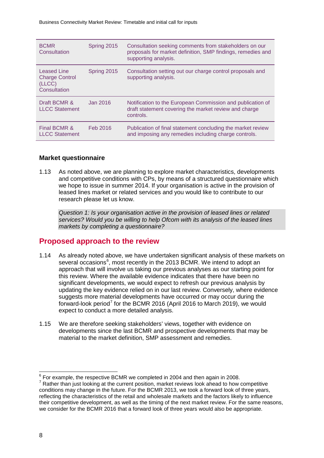| <b>BCMR</b><br>Consultation                                           | Spring 2015 | Consultation seeking comments from stakeholders on our<br>proposals for market definition, SMP findings, remedies and<br>supporting analysis. |
|-----------------------------------------------------------------------|-------------|-----------------------------------------------------------------------------------------------------------------------------------------------|
| <b>Leased Line</b><br><b>Charge Control</b><br>(LLCC)<br>Consultation | Spring 2015 | Consultation setting out our charge control proposals and<br>supporting analysis.                                                             |
| Draft BCMR &<br><b>LLCC Statement</b>                                 | Jan 2016    | Notification to the European Commission and publication of<br>draft statement covering the market review and charge<br>controls.              |
| Final BCMR &<br><b>LLCC Statement</b>                                 | Feb 2016    | Publication of final statement concluding the market review<br>and imposing any remedies including charge controls.                           |

#### **Market questionnaire**

1.13 As noted above, we are planning to explore market characteristics, developments and competitive conditions with CPs, by means of a structured questionnaire which we hope to issue in summer 2014. If your organisation is active in the provision of leased lines market or related services and you would like to contribute to our research please let us know.

*Question 1: Is your organisation active in the provision of leased lines or related services? Would you be willing to help Ofcom with its analysis of the leased lines markets by completing a questionnaire?* 

# **Proposed approach to the review**

- 1.14 As already noted above, we have undertaken significant analysis of these markets on several occasions<sup>[6](#page-10-0)</sup>, most recently in the 2013 BCMR. We intend to adopt an approach that will involve us taking our previous analyses as our starting point for this review. Where the available evidence indicates that there have been no significant developments, we would expect to refresh our previous analysis by updating the key evidence relied on in our last review. Conversely, where evidence suggests more material developments have occurred or may occur during the forward-look period<sup>[7](#page-10-1)</sup> for the BCMR 2016 (April 2016 to March 2019), we would expect to conduct a more detailed analysis.
- 1.15 We are therefore seeking stakeholders' views, together with evidence on developments since the last BCMR and prospective developments that may be material to the market definition, SMP assessment and remedies.

<span id="page-10-0"></span> $6$  For example, the respective BCMR we completed in 2004 and then again in 2008.

<span id="page-10-1"></span> $7$  Rather than just looking at the current position, market reviews look ahead to how competitive conditions may change in the future. For the BCMR 2013, we took a forward look of three years, reflecting the characteristics of the retail and wholesale markets and the factors likely to influence their competitive development, as well as the timing of the next market review. For the same reasons, we consider for the BCMR 2016 that a forward look of three years would also be appropriate.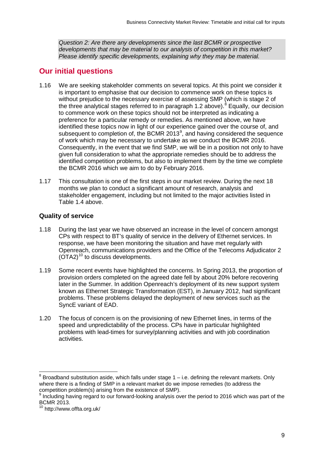*Question 2: Are there any developments since the last BCMR or prospective developments that may be material to our analysis of competition in this market? Please identify specific developments, explaining why they may be material.*

# **Our initial questions**

- 1.16 We are seeking stakeholder comments on several topics. At this point we consider it is important to emphasise that our decision to commence work on these topics is without prejudice to the necessary exercise of assessing SMP (which is stage 2 of the three analytical stages referred to in paragraph 1.2 above). [8](#page-11-0) Equally, our decision to commence work on these topics should not be interpreted as indicating a preference for a particular remedy or remedies. As mentioned above, we have identified these topics now in light of our experience gained over the course of, and subsequent to completion of, the BCMR 2013 $^9$  $^9$ , and having considered the sequence of work which may be necessary to undertake as we conduct the BCMR 2016. Consequently, in the event that we find SMP, we will be in a position not only to have given full consideration to what the appropriate remedies should be to address the identified competition problems, but also to implement them by the time we complete the BCMR 2016 which we aim to do by February 2016.
- 1.17 This consultation is one of the first steps in our market review. During the next 18 months we plan to conduct a significant amount of research, analysis and stakeholder engagement, including but not limited to the major activities listed in Table 1.4 above.

### **Quality of service**

- 1.18 During the last year we have observed an increase in the level of concern amongst CPs with respect to BT's quality of service in the delivery of Ethernet services. In response, we have been monitoring the situation and have met regularly with Openreach, communications providers and the Office of the Telecoms Adjudicator 2 (OTA2) [10](#page-11-2) to discuss developments.
- 1.19 Some recent events have highlighted the concerns. In Spring 2013, the proportion of provision orders completed on the agreed date fell by about 20% before recovering later in the Summer. In addition Openreach's deployment of its new support system known as Ethernet Strategic Transformation (EST), in January 2012, had significant problems. These problems delayed the deployment of new services such as the SyncE variant of EAD.
- 1.20 The focus of concern is on the provisioning of new Ethernet lines, in terms of the speed and unpredictability of the process. CPs have in particular highlighted problems with lead-times for survey/planning activities and with job coordination activities.

<span id="page-11-0"></span> $8$  Broadband substitution aside, which falls under stage 1 – i.e. defining the relevant markets. Only where there is a finding of SMP in a relevant market do we impose remedies (to address the competition problem(s) arising from the existence of SMP).

<span id="page-11-1"></span><sup>&</sup>lt;sup>9</sup> Including having regard to our forward-looking analysis over the period to 2016 which was part of the BCMR 2013.

<span id="page-11-2"></span><sup>10</sup> http://www.offta.org.uk/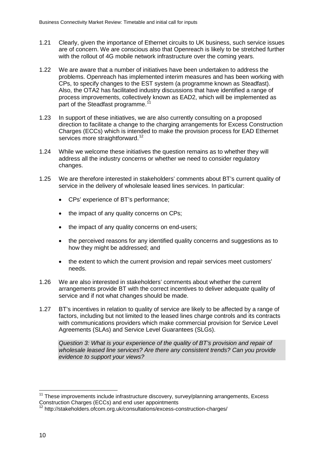- 1.21 Clearly, given the importance of Ethernet circuits to UK business, such service issues are of concern. We are conscious also that Openreach is likely to be stretched further with the rollout of 4G mobile network infrastructure over the coming years.
- 1.22 We are aware that a number of initiatives have been undertaken to address the problems. Openreach has implemented interim measures and has been working with CPs, to specify changes to the EST system (a programme known as Steadfast). Also, the OTA2 has facilitated industry discussions that have identified a range of process improvements, collectively known as EAD2, which will be implemented as part of the Steadfast programme.<sup>1</sup>
- 1.23 In support of these initiatives, we are also currently consulting on a proposed direction to facilitate a change to the charging arrangements for Excess Construction Charges (ECCs) which is intended to make the provision process for EAD Ethernet services more straightforward.<sup>[12](#page-12-1)</sup>
- 1.24 While we welcome these initiatives the question remains as to whether they will address all the industry concerns or whether we need to consider regulatory changes.
- 1.25 We are therefore interested in stakeholders' comments about BT's current quality of service in the delivery of wholesale leased lines services. In particular:
	- CPs' experience of BT's performance;
	- the impact of any quality concerns on CPs;
	- the impact of any quality concerns on end-users;
	- the perceived reasons for any identified quality concerns and suggestions as to how they might be addressed; and
	- the extent to which the current provision and repair services meet customers' needs.
- 1.26 We are also interested in stakeholders' comments about whether the current arrangements provide BT with the correct incentives to deliver adequate quality of service and if not what changes should be made.
- 1.27 BT's incentives in relation to quality of service are likely to be affected by a range of factors, including but not limited to the leased lines charge controls and its contracts with communications providers which make commercial provision for Service Level Agreements (SLAs) and Service Level Guarantees (SLGs).

*Question 3: What is your experience of the quality of BT's provision and repair of wholesale leased line services? Are there any consistent trends? Can you provide evidence to support your views?*

<span id="page-12-0"></span> $11$  These improvements include infrastructure discovery, survey/planning arrangements, Excess Construction Charges (ECCs) and end user appointments

<span id="page-12-1"></span>http://stakeholders.ofcom.org.uk/consultations/excess-construction-charges/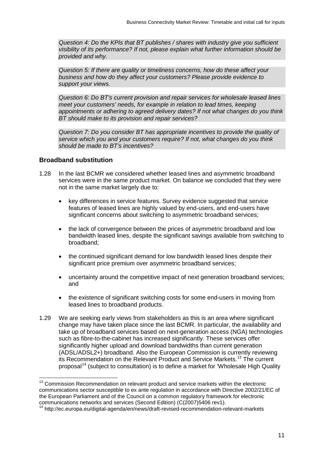*Question 4: Do the KPIs that BT publishes / shares with industry give you sufficient visibility of its performance? If not, please explain what further information should be provided and why.*

*Question 5: If there are quality or timeliness concerns, how do these affect your business and how do they affect your customers? Please provide evidence to support your views.*

*Question 6: Do BT's current provision and repair services for wholesale leased lines meet your customers' needs, for example in relation to lead times, keeping appointments or adhering to agreed delivery dates? If not what changes do you think BT should make to its provision and repair services?*

*Question 7: Do you consider BT has appropriate incentives to provide the quality of service which you and your customers require? If not, what changes do you think should be made to BT's incentives?*

#### **Broadband substitution**

- 1.28 In the last BCMR we considered whether leased lines and asymmetric broadband services were in the same product market. On balance we concluded that they were not in the same market largely due to:
	- key differences in service features. Survey evidence suggested that service features of leased lines are highly valued by end-users, and end-users have significant concerns about switching to asymmetric broadband services;
	- the lack of convergence between the prices of asymmetric broadband and low bandwidth leased lines, despite the significant savings available from switching to broadband;
	- the continued significant demand for low bandwidth leased lines despite their significant price premium over asymmetric broadband services;
	- uncertainty around the competitive impact of next generation broadband services; and
	- the existence of significant switching costs for some end-users in moving from leased lines to broadband products.
- 1.29 We are seeking early views from stakeholders as this is an area where significant change may have taken place since the last BCMR. In particular, the availability and take up of broadband services based on next-generation access (NGA) technologies such as fibre-to-the-cabinet has increased significantly. These services offer significantly higher upload and download bandwidths than current generation (ADSL/ADSL2+) broadband. Also the European Commission is currently reviewing its Recommendation on the Relevant Product and Service Markets. [13](#page-13-0) The current proposal<sup>[14](#page-13-1)</sup> (subject to consultation) is to define a market for 'Wholesale High Quality

<span id="page-13-0"></span><sup>&</sup>lt;sup>13</sup> Commission Recommendation on relevant product and service markets within the electronic communications sector susceptible to ex ante regulation in accordance with Directive 2002/21/EC of the European Parliament and of the Council on a common regulatory framework for electronic communications networks and services (Second Edition) (C(2007)5406 rev1).

<span id="page-13-1"></span><sup>14</sup> http://ec.europa.eu/digital-agenda/en/news/draft-revised-recommendation-relevant-markets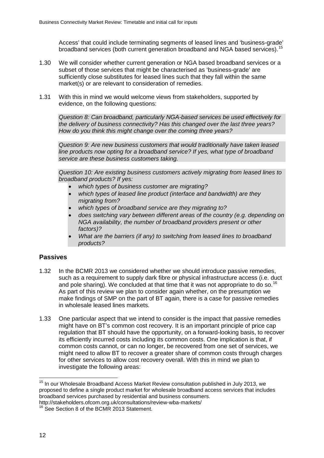Access' that could include terminating segments of leased lines and 'business-grade' broadband services (both current generation broadband and NGA based services).[15](#page-14-0)

- 1.30 We will consider whether current generation or NGA based broadband services or a subset of those services that might be characterised as 'business-grade' are sufficiently close substitutes for leased lines such that they fall within the same market(s) or are relevant to consideration of remedies.
- 1.31 With this in mind we would welcome views from stakeholders, supported by evidence, on the following questions:

*Question 8: Can broadband, particularly NGA-based services be used effectively for the delivery of business connectivity? Has this changed over the last three years? How do you think this might change over the coming three years?* 

*Question 9: Are new business customers that would traditionally have taken leased line products now opting for a broadband service? If yes, what type of broadband service are these business customers taking.* 

*Question 10: Are existing business customers actively migrating from leased lines to broadband products? If yes:*

- *which types of business customer are migrating?*
- *which types of leased line product (interface and bandwidth) are they migrating from?*
- *which types of broadband service are they migrating to?*
- *does switching vary between different areas of the country (e.g. depending on NGA availability, the number of broadband providers present or other factors)?*
- *What are the barriers (if any) to switching from leased lines to broadband products?*

#### **Passives**

- 1.32 In the BCMR 2013 we considered whether we should introduce passive remedies, such as a requirement to supply dark fibre or physical infrastructure access (i.e. duct and pole sharing). We concluded at that time that it was not appropriate to do so.<sup>[16](#page-14-1)</sup> As part of this review we plan to consider again whether, on the presumption we make findings of SMP on the part of BT again, there is a case for passive remedies in wholesale leased lines markets.
- 1.33 One particular aspect that we intend to consider is the impact that passive remedies might have on BT's common cost recovery. It is an important principle of price cap regulation that BT should have the opportunity, on a forward-looking basis, to recover its efficiently incurred costs including its common costs. One implication is that, if common costs cannot, or can no longer, be recovered from one set of services, we might need to allow BT to recover a greater share of common costs through charges for other services to allow cost recovery overall. With this in mind we plan to investigate the following areas:

<span id="page-14-0"></span><sup>&</sup>lt;sup>15</sup> In our Wholesale Broadband Access Market Review consultation published in July 2013, we proposed to define a single product market for wholesale broadband access services that includes broadband services purchased by residential and business consumers.

http://stakeholders.ofcom.org.uk/consultations/review-wba-markets/

<span id="page-14-1"></span><sup>&</sup>lt;sup>16</sup> See Section 8 of the BCMR 2013 Statement.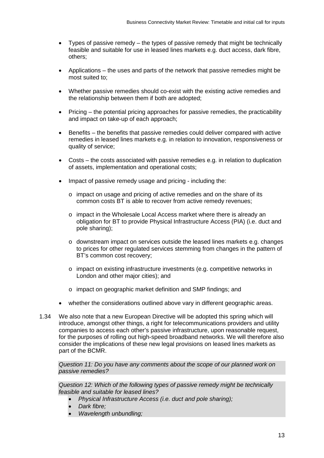- Types of passive remedy the types of passive remedy that might be technically feasible and suitable for use in leased lines markets e.g. duct access, dark fibre, others;
- Applications the uses and parts of the network that passive remedies might be most suited to;
- Whether passive remedies should co-exist with the existing active remedies and the relationship between them if both are adopted;
- Pricing the potential pricing approaches for passive remedies, the practicability and impact on take-up of each approach;
- Benefits the benefits that passive remedies could deliver compared with active remedies in leased lines markets e.g. in relation to innovation, responsiveness or quality of service;
- Costs the costs associated with passive remedies e.g. in relation to duplication of assets, implementation and operational costs;
- Impact of passive remedy usage and pricing including the:
	- o impact on usage and pricing of active remedies and on the share of its common costs BT is able to recover from active remedy revenues;
	- o impact in the Wholesale Local Access market where there is already an obligation for BT to provide Physical Infrastructure Access (PIA) (i.e. duct and pole sharing);
	- o downstream impact on services outside the leased lines markets e.g. changes to prices for other regulated services stemming from changes in the pattern of BT's common cost recovery;
	- o impact on existing infrastructure investments (e.g. competitive networks in London and other major cities); and
	- o impact on geographic market definition and SMP findings; and
- whether the considerations outlined above vary in different geographic areas.
- 1.34 We also note that a new European Directive will be adopted this spring which will introduce, amongst other things, a right for telecommunications providers and utility companies to access each other's passive infrastructure, upon reasonable request, for the purposes of rolling out high-speed broadband networks. We will therefore also consider the implications of these new legal provisions on leased lines markets as part of the BCMR.

*Question 11: Do you have any comments about the scope of our planned work on passive remedies?*

*Question 12: Which of the following types of passive remedy might be technically feasible and suitable for leased lines?*

- *Physical Infrastructure Access (i.e. duct and pole sharing);*
- *Dark fibre;*
- *Wavelength unbundling;*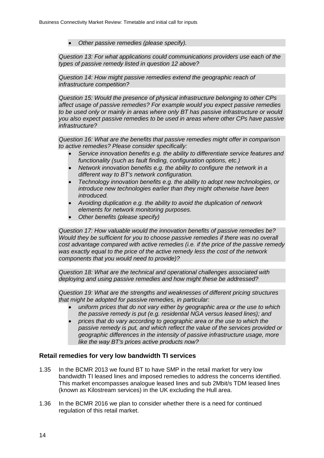• *Other passive remedies (please specify).*

*Question 13: For what applications could communications providers use each of the types of passive remedy listed in question 12 above?*

*Question 14: How might passive remedies extend the geographic reach of infrastructure competition?*

*Question 15: Would the presence of physical infrastructure belonging to other CPs affect usage of passive remedies? For example would you expect passive remedies to be used only or mainly in areas where only BT has passive infrastructure or would you also expect passive remedies to be used in areas where other CPs have passive infrastructure?*

*Question 16: What are the benefits that passive remedies might offer in comparison to active remedies? Please consider specifically:*

- *Service innovation benefits e.g. the ability to differentiate service features and functionality (such as fault finding, configuration options, etc.)*
- *Network innovation benefits e.g. the ability to configure the network in a different way to BT's network configuration.*
- *Technology innovation benefits e.g. the ability to adopt new technologies, or introduce new technologies earlier than they might otherwise have been introduced.*
- *Avoiding duplication e.g. the ability to avoid the duplication of network elements for network monitoring purposes.*
- *Other benefits (please specify)*

*Question 17: How valuable would the innovation benefits of passive remedies be? Would they be sufficient for you to choose passive remedies if there was no overall cost advantage compared with active remedies (i.e. if the price of the passive remedy was exactly equal to the price of the active remedy less the cost of the network components that you would need to provide)?*

*Question 18: What are the technical and operational challenges associated with deploying and using passive remedies and how might these be addressed?*

*Question 19: What are the strengths and weaknesses of different pricing structures that might be adopted for passive remedies, in particular:*

- *uniform prices that do not vary either by geographic area or the use to which the passive remedy is put (e.g. residential NGA versus leased lines); and*
- *prices that do vary according to geographic area or the use to which the passive remedy is put, and which reflect the value of the services provided or geographic differences in the intensity of passive infrastructure usage, more like the way BT's prices active products now?*

#### **Retail remedies for very low bandwidth TI services**

- 1.35 In the BCMR 2013 we found BT to have SMP in the retail market for very low bandwidth TI leased lines and imposed remedies to address the concerns identified. This market encompasses analogue leased lines and sub 2Mbit/s TDM leased lines (known as Kilostream services) in the UK excluding the Hull area.
- 1.36 In the BCMR 2016 we plan to consider whether there is a need for continued regulation of this retail market.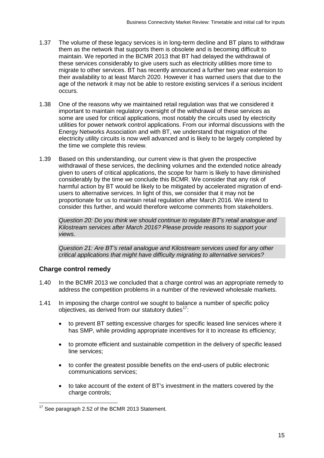- 1.37 The volume of these legacy services is in long-term decline and BT plans to withdraw them as the network that supports them is obsolete and is becoming difficult to maintain. We reported in the BCMR 2013 that BT had delayed the withdrawal of these services considerably to give users such as electricity utilities more time to migrate to other services. BT has recently announced a further two year extension to their availability to at least March 2020. However it has warned users that due to the age of the network it may not be able to restore existing services if a serious incident occurs.
- 1.38 One of the reasons why we maintained retail regulation was that we considered it important to maintain regulatory oversight of the withdrawal of these services as some are used for critical applications, most notably the circuits used by electricity utilities for power network control applications. From our informal discussions with the Energy Networks Association and with BT, we understand that migration of the electricity utility circuits is now well advanced and is likely to be largely completed by the time we complete this review.
- 1.39 Based on this understanding, our current view is that given the prospective withdrawal of these services, the declining volumes and the extended notice already given to users of critical applications, the scope for harm is likely to have diminished considerably by the time we conclude this BCMR. We consider that any risk of harmful action by BT would be likely to be mitigated by accelerated migration of endusers to alternative services. In light of this, we consider that it may not be proportionate for us to maintain retail regulation after March 2016. We intend to consider this further, and would therefore welcome comments from stakeholders.

*Question 20: Do you think we should continue to regulate BT's retail analogue and Kilostream services after March 2016? Please provide reasons to support your views.*

*Question 21: Are BT's retail analogue and Kilostream services used for any other critical applications that might have difficulty migrating to alternative services?*

### **Charge control remedy**

- 1.40 In the BCMR 2013 we concluded that a charge control was an appropriate remedy to address the competition problems in a number of the reviewed wholesale markets.
- 1.41 In imposing the charge control we sought to balance a number of specific policy objectives, as derived from our statutory duties<sup>17</sup>:
	- to prevent BT setting excessive charges for specific leased line services where it has SMP, while providing appropriate incentives for it to increase its efficiency;
	- to promote efficient and sustainable competition in the delivery of specific leased line services;
	- to confer the greatest possible benefits on the end-users of public electronic communications services;
	- to take account of the extent of BT's investment in the matters covered by the charge controls;

<span id="page-17-0"></span><sup>&</sup>lt;sup>17</sup> See paragraph 2.52 of the BCMR 2013 Statement.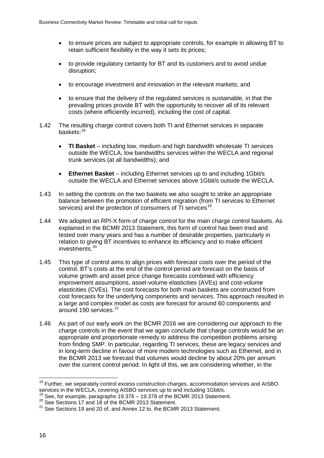- to ensure prices are subject to appropriate controls, for example in allowing BT to retain sufficient flexibility in the way it sets its prices;
- to provide regulatory certainty for BT and its customers and to avoid undue disruption;
- to encourage investment and innovation in the relevant markets; and
- to ensure that the delivery of the regulated services is sustainable, in that the prevailing prices provide BT with the opportunity to recover all of its relevant costs (where efficiently incurred), including the cost of capital.
- 1.42 The resulting charge control covers both TI and Ethernet services in separate baskets:[18](#page-18-0)
	- **TI Basket** including low, medium and high bandwidth wholesale TI services outside the WECLA, low bandwidths services within the WECLA and regional trunk services (at all bandwidths); and
	- **Ethernet Basket** including Ethernet services up to and including 1Gbit/s outside the WECLA and Ethernet services above 1Gbit/s outside the WECLA.
- 1.43 In setting the controls on the two baskets we also sought to strike an appropriate balance between the promotion of efficient migration (from TI services to Ethernet services) and the protection of consumers of TI services<sup>19</sup>.
- 1.44 We adopted an RPI-X form of charge control for the main charge control baskets. As explained in the BCMR 2013 Statement, this form of control has been tried and tested over many years and has a number of desirable properties, particularly in relation to giving BT incentives to enhance its efficiency and to make efficient investments. [20](#page-18-2)
- 1.45 This type of control aims to align prices with forecast costs over the period of the control. BT's costs at the end of the control period are forecast on the basis of volume growth and asset price change forecasts combined with efficiency improvement assumptions, asset-volume elasticities (AVEs) and cost-volume elasticities (CVEs). The cost forecasts for both main baskets are constructed from cost forecasts for the underlying components and services. This approach resulted in a large and complex model as costs are forecast for around 60 components and around 190 services. [21](#page-18-3)
- 1.46 As part of our early work on the BCMR 2016 we are considering our approach to the charge controls in the event that we again conclude that charge controls would be an appropriate and proportionate remedy to address the competition problems arising from finding SMP. In particular, regarding TI services, these are legacy services and in long-term decline in favour of more modern technologies such as Ethernet, and in the BCMR 2013 we forecast that volumes would decline by about 20% per annum over the current control period. In light of this, we are considering whether, in the

<span id="page-18-0"></span> $18$  Further, we separately control excess construction charges, accommodation services and AISBO services in the WECLA, covering AISBO services up to and including 1Gbit/s.

 $19$  See, for example, paragraphs 19.376 – 19.378 of the BCMR 2013 Statement.

<span id="page-18-2"></span><span id="page-18-1"></span><sup>&</sup>lt;sup>20</sup> See Sections 17 and 18 of the BCMR 2013 Statement.

<span id="page-18-3"></span> $21$  See Sections 19 and 20 of, and Annex 12 to, the BCMR 2013 Statement.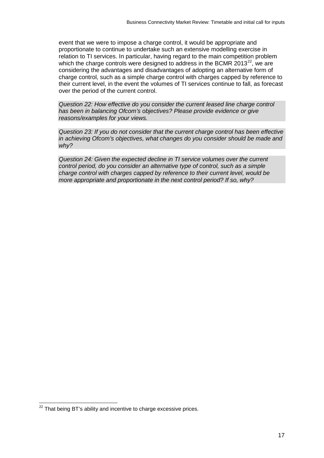event that we were to impose a charge control, it would be appropriate and proportionate to continue to undertake such an extensive modelling exercise in relation to TI services. In particular, having regard to the main competition problem which the charge controls were designed to address in the BCMR 2013 $^{22}$ , we are considering the advantages and disadvantages of adopting an alternative form of charge control, such as a simple charge control with charges capped by reference to their current level, in the event the volumes of TI services continue to fall, as forecast over the period of the current control.

*Question 22: How effective do you consider the current leased line charge control has been in balancing Ofcom's objectives? Please provide evidence or give reasons/examples for your views.*

*Question 23: If you do not consider that the current charge control has been effective in achieving Ofcom's objectives, what changes do you consider should be made and why?*

*Question 24: Given the expected decline in TI service volumes over the current control period, do you consider an alternative type of control, such as a simple charge control with charges capped by reference to their current level, would be more appropriate and proportionate in the next control period? If so, why?*

<span id="page-19-0"></span> $22$  That being BT's ability and incentive to charge excessive prices.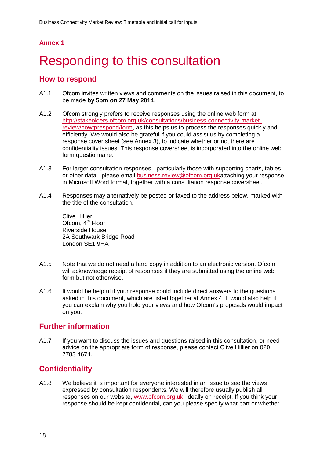## **Annex 1**

# <span id="page-20-0"></span>Responding to this consultation

### **How to respond**

- A1.1 Ofcom invites written views and comments on the issues raised in this document, to be made **by 5pm on 27 May 2014**.
- A1.2 Ofcom strongly prefers to receive responses using the online web form at [http://stakeolders.ofcom.org.uk/consultations/business-connectivity-market](http://stakeolders.ofcom.org.uk/consultations/business-connectivity-market-review/howtprespond/form)[review/howtprespond/form,](http://stakeolders.ofcom.org.uk/consultations/business-connectivity-market-review/howtprespond/form) as this helps us to process the responses quickly and efficiently. We would also be grateful if you could assist us by completing a response cover sheet (see Annex 3), to indicate whether or not there are confidentiality issues. This response coversheet is incorporated into the online web form questionnaire.
- A1.3 For larger consultation responses particularly those with supporting charts, tables or other data - please email [business.review@ofcom.org.uka](mailto:business.review@ofcom.org.uk)ttaching your response in Microsoft Word format, together with a consultation response coversheet.
- A1.4 Responses may alternatively be posted or faxed to the address below, marked with the title of the consultation.

Clive Hillier Ofcom,  $4<sup>th</sup>$  Floor Riverside House 2A Southwark Bridge Road London SE1 9HA

- A1.5 Note that we do not need a hard copy in addition to an electronic version. Ofcom will acknowledge receipt of responses if they are submitted using the online web form but not otherwise.
- A1.6 It would be helpful if your response could include direct answers to the questions asked in this document, which are listed together at Annex 4. It would also help if you can explain why you hold your views and how Ofcom's proposals would impact on you.

## **Further information**

A1.7 If you want to discuss the issues and questions raised in this consultation, or need advice on the appropriate form of response, please contact Clive Hillier on 020 7783 4674.

# **Confidentiality**

A1.8 We believe it is important for everyone interested in an issue to see the views expressed by consultation respondents. We will therefore usually publish all responses on our website, [www.ofcom.org.uk,](http://www.ofcom.org.uk/) ideally on receipt. If you think your response should be kept confidential, can you please specify what part or whether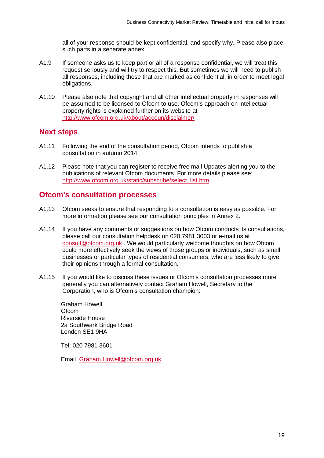all of your response should be kept confidential, and specify why. Please also place such parts in a separate annex.

- A1.9 If someone asks us to keep part or all of a response confidential, we will treat this request seriously and will try to respect this. But sometimes we will need to publish all responses, including those that are marked as confidential, in order to meet legal obligations.
- A1.10 Please also note that copyright and all other intellectual property in responses will be assumed to be licensed to Ofcom to use. Ofcom's approach on intellectual property rights is explained further on its website at <http://www.ofcom.org.uk/about/accoun/disclaimer/>

## **Next steps**

- A1.11 Following the end of the consultation period, Ofcom intends to publish a consultation in autumn 2014.
- A1.12 Please note that you can register to receive free mail Updates alerting you to the publications of relevant Ofcom documents. For more details please see: [http://www.ofcom.org.uk/static/subscribe/select\\_list.htm](http://www.ofcom.org.uk/static/subscribe/select_list.htm)

## **Ofcom's consultation processes**

- A1.13 Ofcom seeks to ensure that responding to a consultation is easy as possible. For more information please see our consultation principles in Annex 2.
- A1.14 If you have any comments or suggestions on how Ofcom conducts its consultations, please call our consultation helpdesk on 020 7981 3003 or e-mail us at [consult@ofcom.org.uk](mailto:consult@ofcom.org.uk) . We would particularly welcome thoughts on how Ofcom could more effectively seek the views of those groups or individuals, such as small businesses or particular types of residential consumers, who are less likely to give their opinions through a formal consultation.
- A1.15 If you would like to discuss these issues or Ofcom's consultation processes more generally you can alternatively contact Graham Howell, Secretary to the Corporation, who is Ofcom's consultation champion:

Graham Howell **Ofcom** Riverside House 2a Southwark Bridge Road London SE1 9HA

Tel: 020 7981 3601

Email [Graham.Howell@ofcom.org.uk](mailto:Graham.Howell@ofcom.org.uk)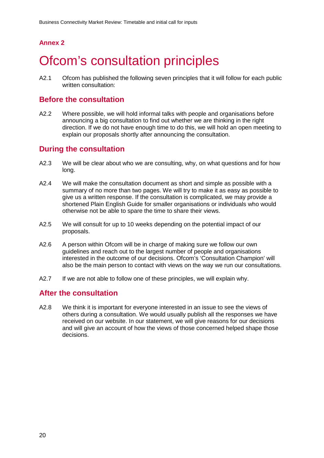# **Annex 2**

# <span id="page-22-0"></span>**Ofcom's consultation principles**

A2.1 Ofcom has published the following seven principles that it will follow for each public written consultation:

# **Before the consultation**

A2.2 Where possible, we will hold informal talks with people and organisations before announcing a big consultation to find out whether we are thinking in the right direction. If we do not have enough time to do this, we will hold an open meeting to explain our proposals shortly after announcing the consultation.

# **During the consultation**

- A2.3 We will be clear about who we are consulting, why, on what questions and for how long.
- A2.4 We will make the consultation document as short and simple as possible with a summary of no more than two pages. We will try to make it as easy as possible to give us a written response. If the consultation is complicated, we may provide a shortened Plain English Guide for smaller organisations or individuals who would otherwise not be able to spare the time to share their views.
- A2.5 We will consult for up to 10 weeks depending on the potential impact of our proposals.
- A2.6 A person within Ofcom will be in charge of making sure we follow our own guidelines and reach out to the largest number of people and organisations interested in the outcome of our decisions. Ofcom's 'Consultation Champion' will also be the main person to contact with views on the way we run our consultations.
- A2.7 If we are not able to follow one of these principles, we will explain why.

## **After the consultation**

A2.8 We think it is important for everyone interested in an issue to see the views of others during a consultation. We would usually publish all the responses we have received on our website. In our statement, we will give reasons for our decisions and will give an account of how the views of those concerned helped shape those decisions.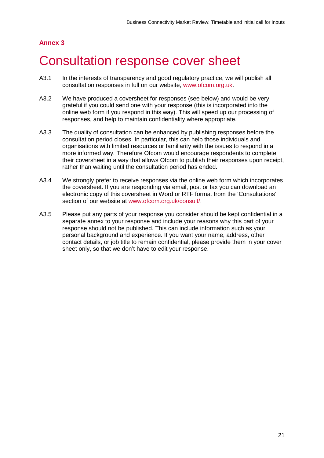## **Annex 3**

# <span id="page-23-0"></span>3 Consultation response cover sheet

- A3.1 In the interests of transparency and good regulatory practice, we will publish all consultation responses in full on our website, [www.ofcom.org.uk.](http://www.ofcom.org.uk/)
- A3.2 We have produced a coversheet for responses (see below) and would be very grateful if you could send one with your response (this is incorporated into the online web form if you respond in this way). This will speed up our processing of responses, and help to maintain confidentiality where appropriate.
- A3.3 The quality of consultation can be enhanced by publishing responses before the consultation period closes. In particular, this can help those individuals and organisations with limited resources or familiarity with the issues to respond in a more informed way. Therefore Ofcom would encourage respondents to complete their coversheet in a way that allows Ofcom to publish their responses upon receipt, rather than waiting until the consultation period has ended.
- A3.4 We strongly prefer to receive responses via the online web form which incorporates the coversheet. If you are responding via email, post or fax you can download an electronic copy of this coversheet in Word or RTF format from the 'Consultations' section of our website at [www.ofcom.org.uk/consult/.](http://www.ofcom.org.uk/consult/)
- A3.5 Please put any parts of your response you consider should be kept confidential in a separate annex to your response and include your reasons why this part of your response should not be published. This can include information such as your personal background and experience. If you want your name, address, other contact details, or job title to remain confidential, please provide them in your cover sheet only, so that we don't have to edit your response.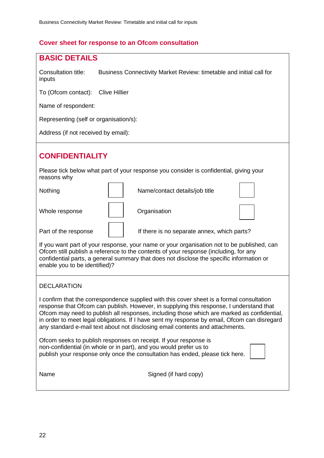# **Cover sheet for response to an Ofcom consultation**

| <b>BASIC DETAILS</b>                                                                                                                                                                                                                                                                                                                                                                                                                                                |                                                                                                                                                                                                                         |  |  |
|---------------------------------------------------------------------------------------------------------------------------------------------------------------------------------------------------------------------------------------------------------------------------------------------------------------------------------------------------------------------------------------------------------------------------------------------------------------------|-------------------------------------------------------------------------------------------------------------------------------------------------------------------------------------------------------------------------|--|--|
| Consultation title:<br>inputs                                                                                                                                                                                                                                                                                                                                                                                                                                       | Business Connectivity Market Review: timetable and initial call for                                                                                                                                                     |  |  |
| To (Ofcom contact):                                                                                                                                                                                                                                                                                                                                                                                                                                                 | <b>Clive Hillier</b>                                                                                                                                                                                                    |  |  |
| Name of respondent:                                                                                                                                                                                                                                                                                                                                                                                                                                                 |                                                                                                                                                                                                                         |  |  |
| Representing (self or organisation/s):                                                                                                                                                                                                                                                                                                                                                                                                                              |                                                                                                                                                                                                                         |  |  |
| Address (if not received by email):                                                                                                                                                                                                                                                                                                                                                                                                                                 |                                                                                                                                                                                                                         |  |  |
| <b>CONFIDENTIALITY</b>                                                                                                                                                                                                                                                                                                                                                                                                                                              |                                                                                                                                                                                                                         |  |  |
| reasons why                                                                                                                                                                                                                                                                                                                                                                                                                                                         | Please tick below what part of your response you consider is confidential, giving your                                                                                                                                  |  |  |
| Nothing                                                                                                                                                                                                                                                                                                                                                                                                                                                             | Name/contact details/job title                                                                                                                                                                                          |  |  |
| Whole response                                                                                                                                                                                                                                                                                                                                                                                                                                                      | Organisation                                                                                                                                                                                                            |  |  |
| Part of the response                                                                                                                                                                                                                                                                                                                                                                                                                                                | If there is no separate annex, which parts?                                                                                                                                                                             |  |  |
| If you want part of your response, your name or your organisation not to be published, can<br>Ofcom still publish a reference to the contents of your response (including, for any<br>confidential parts, a general summary that does not disclose the specific information or<br>enable you to be identified)?                                                                                                                                                     |                                                                                                                                                                                                                         |  |  |
| <b>DECLARATION</b>                                                                                                                                                                                                                                                                                                                                                                                                                                                  |                                                                                                                                                                                                                         |  |  |
| I confirm that the correspondence supplied with this cover sheet is a formal consultation<br>response that Ofcom can publish. However, in supplying this response, I understand that<br>Ofcom may need to publish all responses, including those which are marked as confidential,<br>in order to meet legal obligations. If I have sent my response by email, Ofcom can disregard<br>any standard e-mail text about not disclosing email contents and attachments. |                                                                                                                                                                                                                         |  |  |
|                                                                                                                                                                                                                                                                                                                                                                                                                                                                     | Ofcom seeks to publish responses on receipt. If your response is<br>non-confidential (in whole or in part), and you would prefer us to<br>publish your response only once the consultation has ended, please tick here. |  |  |
| Name                                                                                                                                                                                                                                                                                                                                                                                                                                                                | Signed (if hard copy)                                                                                                                                                                                                   |  |  |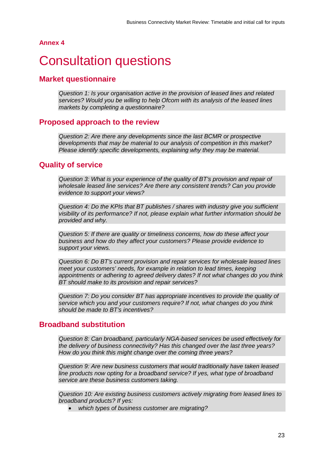#### **Annex 4**

# <span id="page-25-0"></span>**Consultation questions**

### **Market questionnaire**

*Question 1: Is your organisation active in the provision of leased lines and related services? Would you be willing to help Ofcom with its analysis of the leased lines markets by completing a questionnaire?*

### **Proposed approach to the review**

*Question 2: Are there any developments since the last BCMR or prospective developments that may be material to our analysis of competition in this market? Please identify specific developments, explaining why they may be material.*

### **Quality of service**

*Question 3: What is your experience of the quality of BT's provision and repair of wholesale leased line services? Are there any consistent trends? Can you provide evidence to support your views?*

*Question 4: Do the KPIs that BT publishes / shares with industry give you sufficient visibility of its performance? If not, please explain what further information should be provided and why.*

*Question 5: If there are quality or timeliness concerns, how do these affect your business and how do they affect your customers? Please provide evidence to support your views.*

*Question 6: Do BT's current provision and repair services for wholesale leased lines meet your customers' needs, for example in relation to lead times, keeping appointments or adhering to agreed delivery dates? If not what changes do you think BT should make to its provision and repair services?*

*Question 7: Do you consider BT has appropriate incentives to provide the quality of service which you and your customers require? If not, what changes do you think should be made to BT's incentives?*

## **Broadband substitution**

*Question 8: Can broadband, particularly NGA-based services be used effectively for the delivery of business connectivity? Has this changed over the last three years? How do you think this might change over the coming three years?* 

*Question 9: Are new business customers that would traditionally have taken leased line products now opting for a broadband service? If yes, what type of broadband service are these business customers taking.* 

*Question 10: Are existing business customers actively migrating from leased lines to broadband products? If yes:*

• *which types of business customer are migrating?*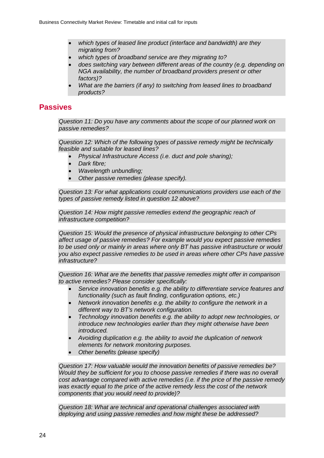- *which types of leased line product (interface and bandwidth) are they migrating from?*
- *which types of broadband service are they migrating to?*
- *does switching vary between different areas of the country (e.g. depending on NGA availability, the number of broadband providers present or other factors)?*
- *What are the barriers (if any) to switching from leased lines to broadband products?*

## **Passives**

*Question 11: Do you have any comments about the scope of our planned work on passive remedies?*

*Question 12: Which of the following types of passive remedy might be technically feasible and suitable for leased lines?*

- *Physical Infrastructure Access (i.e. duct and pole sharing);*
- *Dark fibre;*
- *Wavelength unbundling;*
- *Other passive remedies (please specify).*

*Question 13: For what applications could communications providers use each of the types of passive remedy listed in question 12 above?*

*Question 14: How might passive remedies extend the geographic reach of infrastructure competition?*

*Question 15: Would the presence of physical infrastructure belonging to other CPs affect usage of passive remedies? For example would you expect passive remedies to be used only or mainly in areas where only BT has passive infrastructure or would you also expect passive remedies to be used in areas where other CPs have passive infrastructure?*

*Question 16: What are the benefits that passive remedies might offer in comparison to active remedies? Please consider specifically:*

- *Service innovation benefits e.g. the ability to differentiate service features and functionality (such as fault finding, configuration options, etc.)*
- *Network innovation benefits e.g. the ability to configure the network in a different way to BT's network configuration.*
- *Technology innovation benefits e.g. the ability to adopt new technologies, or introduce new technologies earlier than they might otherwise have been introduced.*
- *Avoiding duplication e.g. the ability to avoid the duplication of network elements for network monitoring purposes.*
- *Other benefits (please specify)*

*Question 17: How valuable would the innovation benefits of passive remedies be? Would they be sufficient for you to choose passive remedies if there was no overall cost advantage compared with active remedies (i.e. if the price of the passive remedy was exactly equal to the price of the active remedy less the cost of the network components that you would need to provide)?*

*Question 18: What are technical and operational challenges associated with deploying and using passive remedies and how might these be addressed?*